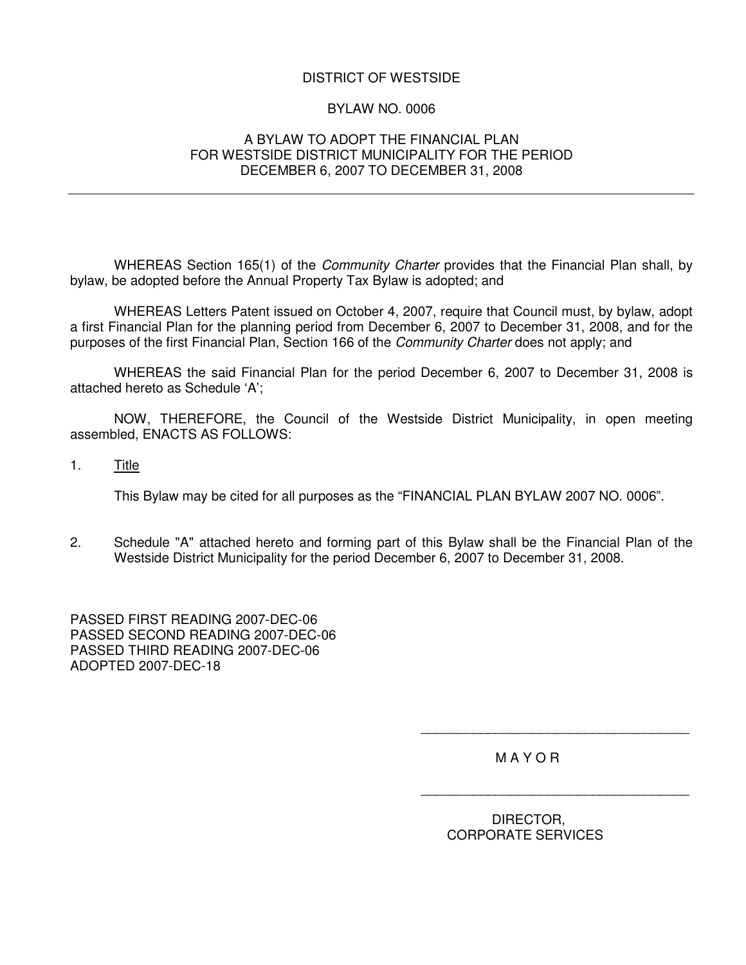# DISTRICT OF WESTSIDE

#### BYLAW NO. 0006

### A BYLAW TO ADOPT THE FINANCIAL PLAN FOR WESTSIDE DISTRICT MUNICIPALITY FOR THE PERIOD DECEMBER 6, 2007 TO DECEMBER 31, 2008

WHEREAS Section 165(1) of the *Community Charter* provides that the Financial Plan shall, by bylaw, be adopted before the Annual Property Tax Bylaw is adopted; and

WHEREAS Letters Patent issued on October 4, 2007, require that Council must, by bylaw, adopt a first Financial Plan for the planning period from December 6, 2007 to December 31, 2008, and for the purposes of the first Financial Plan, Section 166 of the *Community Charter* does not apply; and

WHEREAS the said Financial Plan for the period December 6, 2007 to December 31, 2008 is attached hereto as Schedule 'A';

NOW, THEREFORE, the Council of the Westside District Municipality, in open meeting assembled, ENACTS AS FOLLOWS:

1. Title

This Bylaw may be cited for all purposes as the "FINANCIAL PLAN BYLAW 2007 NO. 0006".

2. Schedule "A" attached hereto and forming part of this Bylaw shall be the Financial Plan of the Westside District Municipality for the period December 6, 2007 to December 31, 2008.

PASSED FIRST READING 2007-DEC-06 PASSED SECOND READING 2007-DEC-06 PASSED THIRD READING 2007-DEC-06 ADOPTED 2007-DEC-18

M A Y O R

\_\_\_\_\_\_\_\_\_\_\_\_\_\_\_\_\_\_\_\_\_\_\_\_\_\_\_\_\_\_\_\_\_\_\_\_

\_\_\_\_\_\_\_\_\_\_\_\_\_\_\_\_\_\_\_\_\_\_\_\_\_\_\_\_\_\_\_\_\_\_\_\_

DIRECTOR, CORPORATE SERVICES